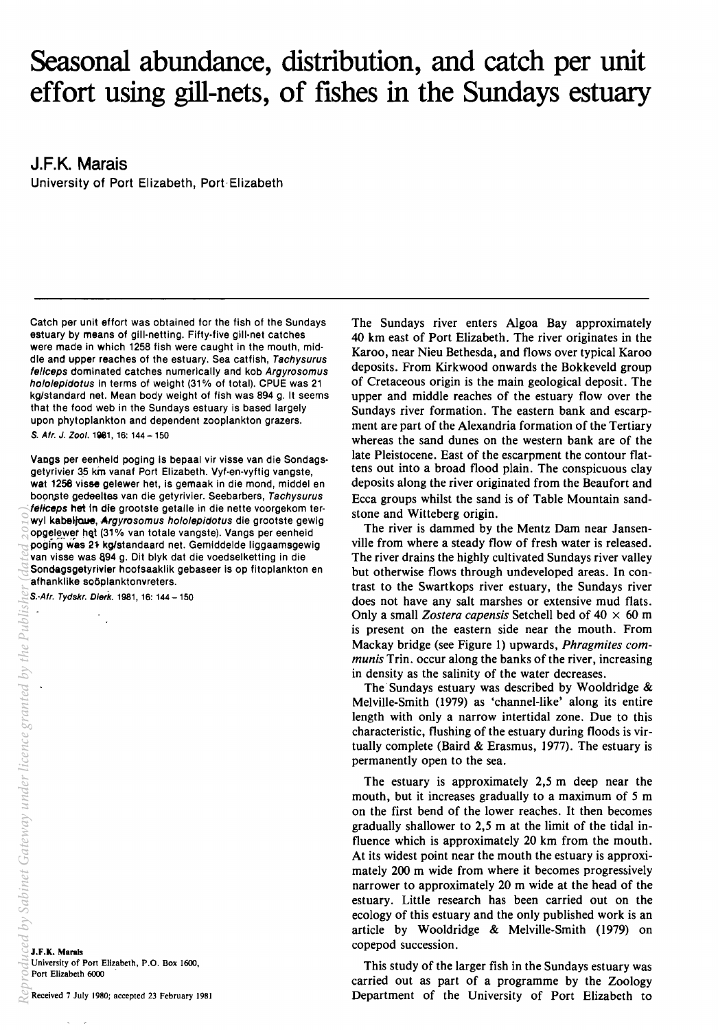# **Seasonal abundance, distribution, and catch per unit effort using gill-nets, of fishes in the Sundays estuary**

**J.F.K. Marais**  University of Port Elizabeth, Port· Elizabeth

Catch per unit effort was obtained for the fish of the Sundays estuary by means of gill-netting. Fifty-five gill-net catches were made in which 1258 fish were caught in the mouth, middle and upper reaches of the estuary. Sea catfish, Tachysurus feliceps dominated catches numerically and kob Argyrosomus hololepidotus in terms of weight (31% of total). CPUE was 21 kg/standard net. Mean body weight of fish was 894 g. It seems that the food web in the Sundays estuary is based largely upon phytoplankton and dependent zooplankton grazers. S. Afr. J. Zool. 1981, 16: 144 - 150

Vangs per eenheid poging is bepaal vir visse van die Sondagsgetyrivier 35 km vanaf Port Elizabeth. Vyf-en-vyftig vangste, wat 1258 visse gelewer het, is gemaak in die mond, middel en boonste gedeeltes van die getyrivier. Seebarbers, Tachysurus feliceps het in die grootste getalle in die nette voorgekom terwyl kabeljoue, Argyrosomus hololepidotus die grootste gewig opgelewer het (31% van totale vangste). Vangs per eenheid poging'was 21 kglstandaard net. Gemiddelde liggaamsgewig van visse was 894 g. Dit blyk dat die voedselketting in die Sondagsgetyrivier hoofsaaklik gebaseer is op fitoplankton en afhanklike soöplanktonvreters.

 $\frac{1}{2}$ 

J.F.K. Marais University of Port Elizabeth, P.O. Box 1600, Port Elizabeth 6000

Received 7 July 1980; accepted 23 February 1981

The Sundays river enters Algoa Bay approximately 40 km east of Port Elizabeth. The river originates in the Karoo, near Nieu Bethesda, and flows over typical Karoo deposits. From Kirkwood onwards the Bokkeveld group of Cretaceous origin is the main geological deposit. The upper and middle reaches of the estuary flow over the Sundays river formation. The eastern bank and escarpment are part of the Alexandria formation of the Tertiary whereas the sand dunes on the western bank are of the late Pleistocene. East of the escarpment the contour flattens out into a broad flood plain. The conspicuous clay deposits along the river originated from the Beaufort and Ecca groups whilst the sand is of Table Mountain sandstone and Witteberg origin.

The river is dammed by the Mentz Dam near Jansenville from where a steady flow of fresh water is released. The river drains the highly cultivated Sundays river valley but otherwise flows through undeveloped areas. In contrast to the Swartkops river estuary, the Sundays river does not have any salt marshes or extensive mud flats. Only a small *Zostera capensis* Setchell bed of  $40 \times 60$  m is present on the eastern side near the mouth. From Mackay bridge (see Figure 1) upwards, *Phragmites communis* Trin. occur along the banks of the river, increasing in density as the salinity of the water decreases.

The Sundays estuary was described by Wooldridge & Melville-Smith (1979) as 'channel-like' along its entire length with only a narrow intertidal zone. Due to this characteristic, flushing of the estuary during floods is virtually complete (Baird  $&$  Erasmus, 1977). The estuary is permanently open to the sea.

The estuary is approximately 2,5 m deep near the mouth, but it increases gradually to a maximum of 5 m on the first bend of the lower reaches. It then becomes gradually shallower to 2,5 m at the limit of the tidal influence which is approximately 20 km from the mouth. At its widest point near the mouth the estuary is approximately 200 m wide from where it becomes progressively narrower to approximately 20 m wide at the head of the estuary. Little research has been carried out on the ecology of this estuary and the only published work is an article by Wooldridge & Melville-Smith (1979) on copepod succession.

This study of the larger fish in the Sundays estuary was carried out as part of a programme by the Zoology Department of the University of Port Elizabeth to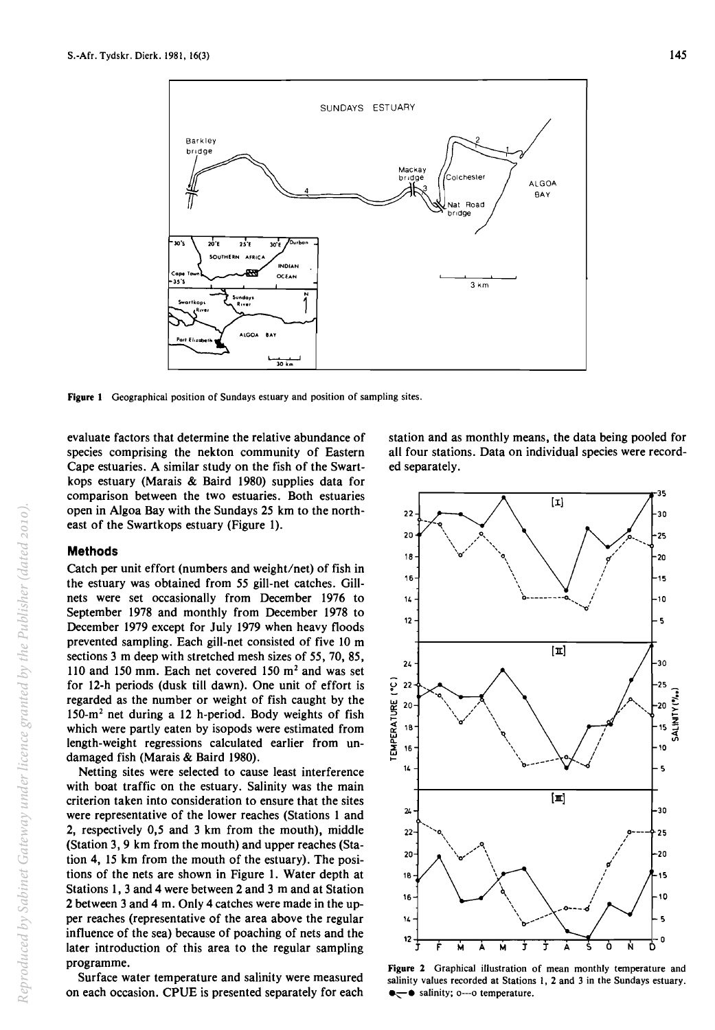

Figure 1 Geographical position of Sundays estuary and position of sampling sites.

evaluate factors that determine the relative abundance of species comprising the nekton community of Eastern Cape estuaries. A similar study on the fish of the Swartkops estuary (Marais & Baird 1980) supplies data for comparison between the two estuaries. Both estuaries open in Algoa Bay with the Sundays 25 km to the northeast of the Swartkops estuary (Figure 1).

#### Methods

Catch per unit effort (numbers and weight/net) of fish in the estuary was obtained from 55 gill-net catches. Gillnets were set occasionally from December 1976 to September 1978 and monthly from December 1978 to December 1979 except for July 1979 when heavy floods prevented sampling. Each gill-net consisted of five 10 m sections 3 m deep with stretched mesh sizes of 55, 70, 85, 110 and 150 mm. Each net covered 150  $m<sup>2</sup>$  and was set for 12-h periods (dusk till dawn). One unit of effort is regarded as the number or weight of fish caught by the 150-m2 net during a 12 h-period. Body weights of fish which were partly eaten by isopods were estimated from length-weight regressions calculated earlier from undamaged fish (Marais & Baird 1980).

Netting sites were selected to cause least interference with boat traffic on the estuary. Salinity was the main criterion taken into consideration to ensure that the sites were representative of the lower reaches (Stations 1 and 2, respectively 0,5 and 3 km from the mouth), middle (Station 3, 9 km from the mouth) and upper reaches (Station 4, 15 km from the mouth of the estuary). The positions of the nets are shown in Figure 1. Water depth at Stations 1, 3 and 4 were between 2 and 3 m and at Station 2 between 3 and 4 m. Only 4 catches were made in the upper reaches (representative of the area above the regular influence of the sea) because of poaching of nets and the later introduction of this area to the regular sampling programme.

Surface water temperature and salinity were measured on each occasion. CPUE is presented separately for each station and as monthly means, the data being pooled for all four stations. Data on individual species were recorded separately.



Figure 2 Graphical illustration of mean monthly temperature and salinity values recorded at Stations I, 2 and 3 in the Sundays estuary. •—• salinity; o---o temperature.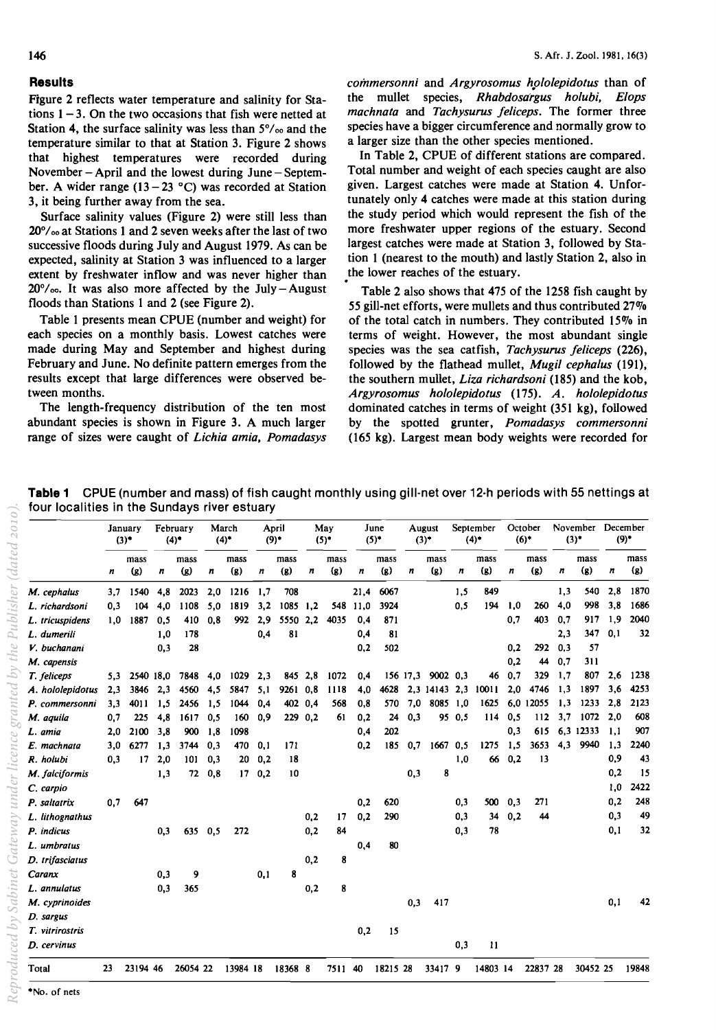## **Results**

Figure 2 reflects water temperature and salinity for Stations  $1 - 3$ . On the two occasions that fish were netted at Station 4, the surface salinity was less than  $5\%$  and the temperature similar to that at Station 3. Figure 2 shows that highest temperatures were recorded during November  $-$  April and the lowest during June  $-$  September. A wider range (13 - 23 °C) was recorded at Station 3, it being further away from the sea.

Surface salinity values (Figure 2) were still less than  $20^{\circ}/_{\text{oo}}$  at Stations 1 and 2 seven weeks after the last of two successive floods during July and August 1979. As can be expected, salinity at Station 3 was influenced to a larger extent by freshwater inflow and was never higher than  $20^{\circ}/\infty$ . It was also more affected by the July-August floods than Stations 1 and 2 (see Figure 2).

Table 1 presents mean CPUE (number and weight) for each species on a monthly basis. Lowest catches were made during May and September and highest during February and June. No definite pattern emerges from the results except that large differences were observed between months.

The length-frequency distribution of the ten most abundant species is shown in Figure 3. A much larger range of sizes were caught of *Lichia amia, Pomadasys*  *commersonni and Argyrosomus hololepidotus* than of the mullet species, *Rhabdosargus holubi, Elops machnata* and *Tachysurus jeliceps.* The former three species have a bigger circumference and normally grow to a larger size than the other species mentioned.

In Table 2, CPUE of different stations are compared. Total number and weight of each species caught are also given. Largest catches were made at Station 4. Unfortunately only 4 catches were made at this station during the study period which would represent the fish of the more freshwater upper regions of the estuary. Second largest catches were made at Station 3, followed by Station 1 (nearest to the mouth) and lastly Station 2, also in the lower reaches of the estuary.

Table 2 also shows that 475 of the 1258 fish caught by 55 gill-net efforts, were mullets and thus contributed  $27\%$ of the total catch in numbers. They contributed  $15\%$  in terms of weight. However, the most abundant single species was the sea catfish, *Tachysurus jeliceps (226),*  followed by the flathead mullet, *Mugi/ cephalus (191),*  the southern mullet, *Liza richardsoni* (185) and the kob, *Argyrosomus hololepidotus* (175). *A. hololepidotus*  dominated catches in terms of weight (351 kg), followed by the spotted grunter, *Pomadasys commersonni*  (165 kg). Largest mean body weights were recorded for

|                  | January<br>(3) |                           | February<br>(4)  |             | March<br>$(4)^*$ |                 | April<br>$(9)^*$ |               |                  | May<br>$(5)$ <sup>*</sup> |          | June<br>$(5)^*$ |     | August<br>$(3)^+$ |                  | September<br>(4)    |                  | October<br>$(6)$ <sup>+</sup> |                  | November December<br>$(3)$ <sup>*</sup> |     | $(9)^*$     |  |
|------------------|----------------|---------------------------|------------------|-------------|------------------|-----------------|------------------|---------------|------------------|---------------------------|----------|-----------------|-----|-------------------|------------------|---------------------|------------------|-------------------------------|------------------|-----------------------------------------|-----|-------------|--|
|                  | n              | mass<br>$\left( g\right)$ | $\boldsymbol{n}$ | mass<br>(g) | $\boldsymbol{n}$ | mass<br>(g)     | $\boldsymbol{n}$ | mass<br>$(g)$ | $\boldsymbol{n}$ | mass<br>(g)               | n        | mass<br>$(g)$   | n   | mass<br>(g)       | $\boldsymbol{n}$ | mass<br>(g)         | $\boldsymbol{n}$ | mass<br>(g)                   | $\boldsymbol{n}$ | mass<br>(g)                             | n   | mass<br>(g) |  |
| M. cephalus      | 3.7            | 1540                      | 4,8              | 2023        | 2,0              | 1216            | 1,7              | 708           |                  |                           | 21,4     | 6067            |     |                   | 1,5              | 849                 |                  |                               | 1,3              | 540                                     | 2.8 | 1870        |  |
| L. richardsoni   | 0.3            | 104                       | 4,0              | 1108        | 5.0              | 1819            | 3,2              | 1085 1.2      |                  |                           | 548 11.0 | 3924            |     |                   | 0,5              | 194                 | 1,0              | 260                           | 4,0              | 998                                     | 3,8 | 1686        |  |
| L. tricuspidens  | 1,0            | 1887                      | 0.5              | 410         | 0.8              | 992             | 2.9              | 5550          | 2.2              | 4035                      | 0,4      | 871             |     |                   |                  |                     | 0.7              | 403                           | 0,7              | 917                                     | 1,9 | 2040        |  |
| L. dumerili      |                |                           | 1,0              | 178         |                  |                 | 0,4              | 81            |                  |                           | 0.4      | 81              |     |                   |                  |                     |                  |                               | 2,3              | 347                                     | 0.1 | 32          |  |
| V. buchanani     |                |                           | 0,3              | 28          |                  |                 |                  |               |                  |                           | 0,2      | 502             |     |                   |                  |                     | 0,2              | 292                           | 0,3              | 57                                      |     |             |  |
| M. capensis      |                |                           |                  |             |                  |                 |                  |               |                  |                           |          |                 |     |                   |                  |                     | 0,2              | 44                            | 0.7              | 311                                     |     |             |  |
| T. feliceps      |                | 5,3 2540 18,0             |                  | 7848        | 4,0              | 1029            | 2,3              |               | 845 2,8          | 1072                      | 0,4      |                 |     | 156 17.3 9002 0.3 |                  | 46                  | 0,7              | 329                           | 1,7              | 807                                     | 2,6 | 1238        |  |
| A. hololepidotus | 2,3            | 3846                      | 2,3              | 4560        | 4,5              | 5847            | 5,1              | 9261 0.8      |                  | 1118                      | 4,0      | 4628            |     |                   |                  | 2,3 14143 2,3 10011 | 2,0              | 4746                          | 1,3              | 1897                                    | 3.6 | 4253        |  |
| P. commersonni   | 3,3            | 4011                      | 1.5              | 2456        | 1,5              | 1044            | 0.4              |               | 402 0.4          | 568                       | 0,8      | 570             | 7.0 | 8085 1.0          |                  | 1625                |                  | 6.0 12055                     | 1,3              | 1233                                    | 2.8 | 2123        |  |
| M. aquila        | 0,7            | 225                       | 4,8              | 1617        | 0,5              | 160             | 0,9              |               | 229 0.2          | 61                        | 0,2      | 24              | 0,3 |                   | 95 0,5           | 114                 | 0,5              | 112                           | 3,7              | 1072                                    | 2,0 | 608         |  |
| L. amia          | 2,0            | 2100                      | 3,8              | 900         | 1.8              | 1098            |                  |               |                  |                           | 0,4      | 202             |     |                   |                  |                     | 0,3              | 615                           |                  | 6.3 12333                               | 1,1 | 907         |  |
| E. machnata      | 3,0            | 6277                      | 1,3              | 3744        | 0.3              | 470             | 0,1              | 171           |                  |                           | 0,2      | 185             | 0,7 | $1667$ 0.5        |                  | 1275                | 1,5              | 3653                          | 4,3              | 9940                                    | 1,3 | 2240        |  |
| R. holubi        | 0,3            | 17                        | 2.0              | 101         | 0,3              | 20              | 0,2              | 18            |                  |                           |          |                 |     |                   | 1,0              | 66                  | 0,2              | 13                            |                  |                                         | 0,9 | 43          |  |
| M. falciformis   |                |                           | 1,3              | 72          | 0,8              | 17 <sub>1</sub> | 0,2              | 10            |                  |                           |          |                 | 0,3 | 8                 |                  |                     |                  |                               |                  |                                         | 0,2 | 15          |  |
| C. carpio        |                |                           |                  |             |                  |                 |                  |               |                  |                           |          |                 |     |                   |                  |                     |                  |                               |                  |                                         | 1,0 | 2422        |  |
| P. saltatrix     | 0,7            | 647                       |                  |             |                  |                 |                  |               |                  |                           | 0.2      | 620             |     |                   | 0,3              | 500                 | 0,3              | 271                           |                  |                                         | 0,2 | 248         |  |
| L. lithognathus  |                |                           |                  |             |                  |                 |                  |               | 0,2              | 17                        | 0,2      | 290             |     |                   | 0.3              | 34                  | 0.2              | 44                            |                  |                                         | 0,3 | 49          |  |
| P. indicus       |                |                           | 0.3              | 635         | 0,5              | 272             |                  |               | 0,2              | 84                        |          |                 |     |                   | 0,3              | 78                  |                  |                               |                  |                                         | 0,1 | 32          |  |
| L. umbratus      |                |                           |                  |             |                  |                 |                  |               |                  |                           | 0,4      | 80              |     |                   |                  |                     |                  |                               |                  |                                         |     |             |  |
| D. trifasciatus  |                |                           |                  |             |                  |                 |                  |               | 0,2              | 8                         |          |                 |     |                   |                  |                     |                  |                               |                  |                                         |     |             |  |
| Caranx           |                |                           | 0,3              | 9           |                  |                 | 0,1              | 8             |                  |                           |          |                 |     |                   |                  |                     |                  |                               |                  |                                         |     |             |  |
| L. annulatus     |                |                           | 0,3              | 365         |                  |                 |                  |               | 0,2              | 8                         |          |                 |     |                   |                  |                     |                  |                               |                  |                                         |     |             |  |
| M. cyprinoides   |                |                           |                  |             |                  |                 |                  |               |                  |                           |          |                 | 0,3 | 417               |                  |                     |                  |                               |                  |                                         | 0,1 | 42          |  |
| D. sargus        |                |                           |                  |             |                  |                 |                  |               |                  |                           |          |                 |     |                   |                  |                     |                  |                               |                  |                                         |     |             |  |
| T. vitrirostris  |                |                           |                  |             |                  |                 |                  |               |                  |                           | 0,2      | 15              |     |                   |                  |                     |                  |                               |                  |                                         |     |             |  |
| D. cervinus      |                |                           |                  |             |                  |                 |                  |               |                  |                           |          |                 |     |                   | 0.3              | 11                  |                  |                               |                  |                                         |     |             |  |
| Total            | 23             | 23194 46                  |                  | 26054 22    |                  | 13984 18        |                  | 18368 8       |                  | 7511 40                   |          | 18215 28        |     | 33417 9           |                  | 14803 14            |                  | 22837 28                      |                  | 30452 25                                |     | 19848       |  |

**Table 1** CPUE (number and mass) of fish caught monthly using gill-net over 12·h periods with 55 nettings at four localities in the Sundays river estuary

Reproduced by Sabinet Gateway under licence granted by the Publisher (dated 2010)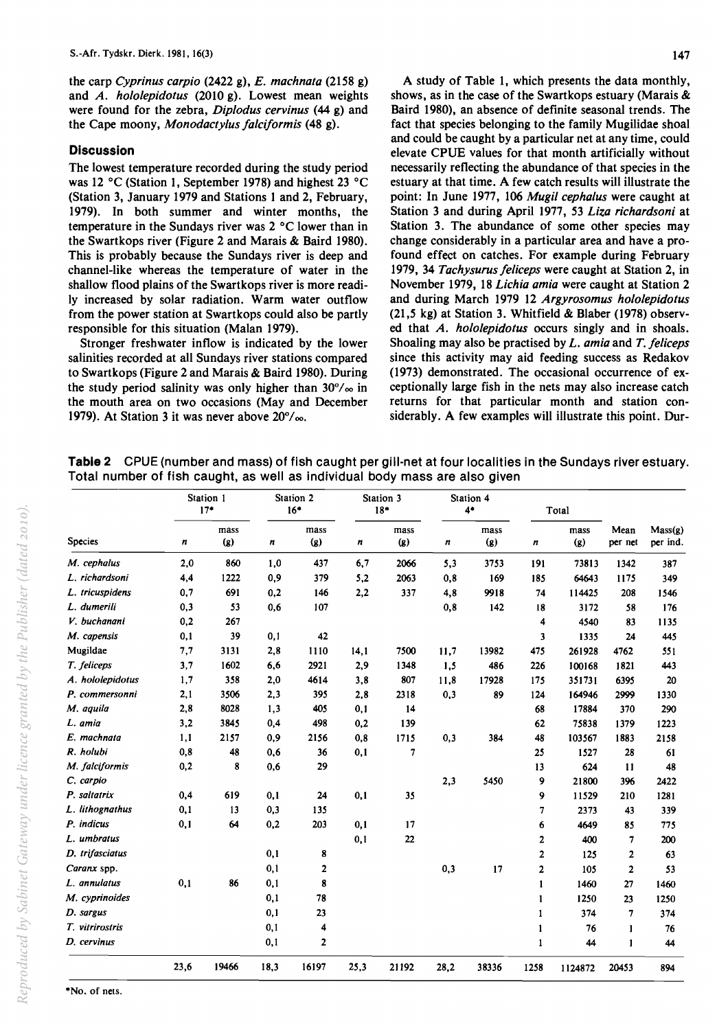the carp *Cyprinus carpio* (2422 g), *E. mach nata* (2158 g) and *A. hololepidotus* (2010 g). Lowest mean weights were found for the zebra, *Diplodus cervinus* (44 g) and the Cape moony, *Monodactylus /alciformis* (48 g).

### **Discussion**

The lowest temperature recorded during the study period was 12°C (Station 1, September 1978) and highest 23 °C (Station 3, January 1979 and Stations 1 and 2, February, 1979). In both summer and winter months, the temperature in the Sundays river was 2 °C lower than in the Swartkops river (Figure 2 and Marais & Baird 1980). This is probably because the Sundays river is deep and channel-like whereas the temperature of water in the shallow flood plains of the Swartkops river is more readily increased by solar radiation. Warm water outflow from the power station at Swartkops could also be partly responsible for this situation (Malan 1979).

Stronger freshwater inflow is indicated by the lower salinities recorded at all Sundays river stations compared to Swartkops (Figure 2 and Marais & Baird 1980). During the study period salinity was only higher than  $30\%$  in the mouth area on two occasions (May and December 1979). At Station 3 it was never above  $20^{\circ}/\infty$ .

A study of Table 1, which presents the data monthly, shows, as in the case of the Swartkops estuary (Marais & Baird 1980), an absence of definite seasonal trends. The fact that species belonging to the family Mugilidae shoal and could be caught by a particular net at any time, could elevate CPUE values for that month artificially without necessarily reflecting the abundance of that species in the estuary at that time. A few catch results will illustrate the point: In June 1977, 106 *MugU cephalus* were caught at Station 3 and during April 1977, 53 *Liza richardsoni* at Station 3. The abundance of some other species may change considerably in a particular area and have a profound effect on catches. For example during February 1979, 34 *Tachysurus/eliceps* were caught at Station 2, in November 1979, 18 *Lichia amia* were caught at Station 2 and during March 1979 12 *Argyrosomus hololepidotus*  (21,5 kg) at Station 3. Whitfield & Blaber (1978) observed that *A. hololepidotus* occurs singly and in shoals. Shoaling may also be practised by L. *amia* and *T. /eliceps*  since this activity may aid feeding success as Redakov (1973) demonstrated. The occasional occurrence of exceptionally large fish in the nets may also increase catch returns for that particular month and station considerably. A few examples will illustrate this point. Dur-

**Table 2** CPUE (number and mass) of fish caught per gill-net at four localities in the Sundays river estuary. Total number of fish caught, as well as individual body mass are also given

| <b>Species</b>   | Station 1<br>$17*$ |             |      | Station 2<br>$16*$                 |      | Station 3<br>$18*$       |      | Station 4<br>$4*$ | Total            |             |                 |                     |
|------------------|--------------------|-------------|------|------------------------------------|------|--------------------------|------|-------------------|------------------|-------------|-----------------|---------------------|
|                  | n                  | mass<br>(g) | n    | mass<br>$\left( \mathbf{g}\right)$ | n    | mass<br>(2)              | n    | mass<br>(g)       | $\boldsymbol{n}$ | mass<br>(g) | Mean<br>per net | Mass(g)<br>per ind. |
| M. cephalus      | 2,0                | 860         | 1,0  | 437                                | 6,7  | 2066                     | 5,3  | 3753              | 191              | 73813       | 1342            | 387                 |
| L. richardsoni   | 4,4                | 1222        | 0,9  | 379                                | 5,2  | 2063                     | 0,8  | 169               | 185              | 64643       | 1175            | 349                 |
| L. tricuspidens  | 0,7                | 691         | 0,2  | 146                                | 2,2  | 337                      | 4,8  | 9918              | 74               | 114425      | 208             | 1546                |
| L. dumerili      | 0,3                | 53          | 0,6  | 107                                |      |                          | 0,8  | 142               | 18               | 3172        | 58              | 176                 |
| V. buchanani     | 0,2                | 267         |      |                                    |      |                          |      |                   | 4                | 4540        | 83              | 1135                |
| M. capensis      | 0,1                | 39          | 0,1  | 42                                 |      |                          |      |                   | 3                | 1335        | 24              | 445                 |
| Mugildae         | 7,7                | 3131        | 2,8  | 1110                               | 14,1 | 7500                     | 11,7 | 13982             | 475              | 261928      | 4762            | 551                 |
| T. feliceps      | 3,7                | 1602        | 6,6  | 2921                               | 2,9  | 1348                     | 1,5  | 486               | 226              | 100168      | 1821            | 443                 |
| A. hololepidotus | 1,7                | 358         | 2,0  | 4614                               | 3,8  | 807                      | 11.8 | 17928             | 175              | 351731      | 6395            | 20                  |
| P. commersonni   | 2,1                | 3506        | 2,3  | 395                                | 2,8  | 2318                     | 0,3  | 89                | 124              | 164946      | 2999            | 1330                |
| M. aquila        | 2,8                | 8028        | 1,3  | 405                                | 0,1  | 14                       |      |                   | 68               | 17884       | 370             | 290                 |
| L. amia          | 3,2                | 3845        | 0,4  | 498                                | 0,2  | 139                      |      |                   | 62               | 75838       | 1379            | 1223                |
| E. machnata      | 1,1                | 2157        | 0,9  | 2156                               | 0,8  | 1715                     | 0,3  | 384               | 48               | 103567      | 1883            | 2158                |
| R. holubi        | 0,8                | 48          | 0,6  | 36                                 | 0,1  | $\overline{\phantom{a}}$ |      |                   | 25               | 1527        | 28              | 61                  |
| M. falciformis   | 0,2                | 8           | 0,6  | 29                                 |      |                          |      |                   | 13               | 624         | $\mathbf{11}$   | 48                  |
| C. carpio        |                    |             |      |                                    |      |                          | 2,3  | 5450              | 9                | 21800       | 396             | 2422                |
| P. saltatrix     | 0,4                | 619         | 0,1  | 24                                 | 0,1  | 35                       |      |                   | 9                | 11529       | 210             | 1281                |
| L. lithognathus  | 0,1                | 13          | 0,3  | 135                                |      |                          |      |                   | $\overline{7}$   | 2373        | 43              | 339                 |
| P. indicus       | 0,1                | 64          | 0,2  | 203                                | 0,1  | 17                       |      |                   | 6                | 4649        | 85              | 775                 |
| L. umbratus      |                    |             |      |                                    | 0,1  | 22                       |      |                   | 2                | 400         | 7               | 200                 |
| D. trifasciatus  |                    |             | 0,1  | 8                                  |      |                          |      |                   | $\overline{2}$   | 125         | 2               | 63                  |
| Caranx spp.      |                    |             | 0,1  | $\mathbf{2}$                       |      |                          | 0,3  | 17                | $\mathbf{2}$     | 105         | 2               | 53                  |
| L. annulatus     | 0,1                | 86          | 0,1  | 8                                  |      |                          |      |                   | $\mathbf{1}$     | 1460        | 27              | 1460                |
| M. cyprinoides   |                    |             | 0,1  | 78                                 |      |                          |      |                   | $\mathbf{1}$     | 1250        | 23              | 1250                |
| D. sargus        |                    |             | 0,1  | 23                                 |      |                          |      |                   | 1                | 374         | $\overline{7}$  | 374                 |
| T. vitrirostris  |                    |             | 0,1  | 4                                  |      |                          |      |                   | 1                | 76          | $\mathbf{1}$    | 76                  |
| D. cervinus      |                    |             | 0,1  | $\overline{\mathbf{2}}$            |      |                          |      |                   | $\mathbf{1}$     | 44          | $\mathbf{1}$    | 44                  |
|                  | 23,6               | 19466       | 18,3 | 16197                              | 25,3 | 21192                    | 28,2 | 38336             | 1258             | 1124872     | 20453           | 894                 |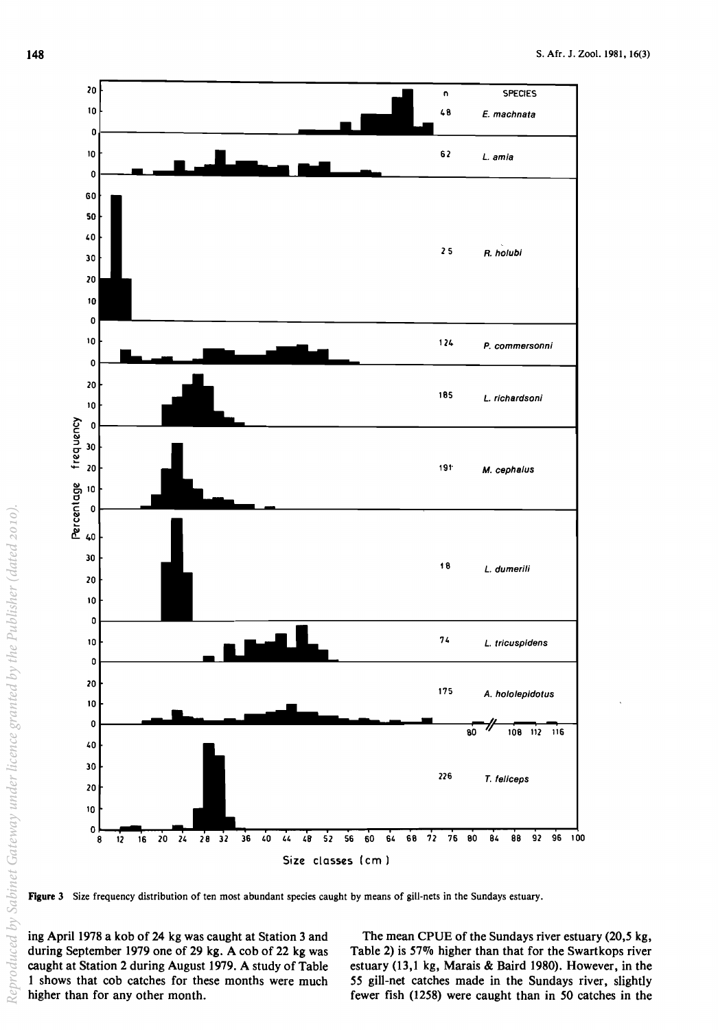

Figure 3 Size frequency distribution of ten most abundant species caught by means of gill-nets in the Sundays estuary.

ing April 1978 a kob of 24 kg was caught at Station 3 and during September 1979 one of 29 kg. A cob of 22 kg was caught at Station 2 during August 1979. A study of Table 1 shows that cob catches for these months were much higher than for any other month.

The mean CPUE of the Sundays river estuary (20,5 kg, Table 2) is  $57\%$  higher than that for the Swartkops river estuary (13,1 kg, Marais & Baird 1980). However, in the 55 gill-net catches made in the Sundays river, slightly fewer fish (1258) were caught than in 50 catches in the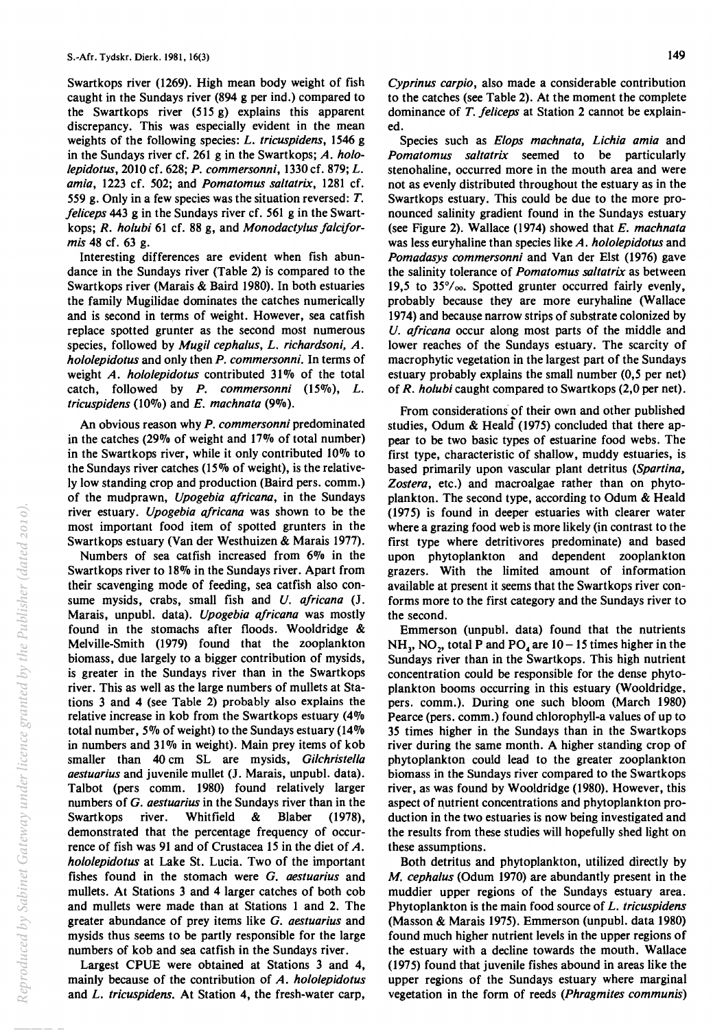Swartkops river (1269). High mean body weight of fish caught in the Sundays river (894 g per ind.) compared to the Swartkops river (515 g) explains this apparent discrepancy. This was especially evident in the mean weights of the following species: *L. tricuspidens,* 1546 g in the Sundays river cf. 261 g in the Swartkops; *A. hololepidotus,* 2010 cf. 628; *P. commersonni,* 1330 cf. 879; *L. amia,* 1223 cf. 502; and *Pomatomus saitatrix,* 1281 cf. 559 g. Only in a few species was the situation reversed: T. *jeliceps* 443 g in the Sundays river cf. 561 g in the Swartkops; *R. holubi* 61 cf. 88 g, and *Monodactylus jalciformis* 48 cf. 63 g.

Interesting differences are evident when fish abundance in the Sundays river (Table 2) is compared to the Swartkops river (Marais & Baird 1980). In both estuaries the family Mugilidae dominates the catches numerically and is second in terms of weight. However, sea catfish replace spotted grunter as the second most numerous species, followed by *Mugil cephalus, L. richardsoni, A. hololepidotus* and only then *P. commersonni.* In terms of weight *A. hololepidotus* contributed 31% of the total catch, followed by *P. commersonni* (15%), *L. tricuspidens* (10%) and *E. machnata (9%).* 

An obvious reason why *P. commersonni* predominated in the catches (29% of weight and 17% of total number) in the Swartkops river, while it only contributed 10% to the Sundays river catches (15% of weight), is the relatively low standing crop and production (Baird pers. comm.) of the mudprawn, *Upogebia ajricana,* in the Sundays river estuary. *Upogebia ajricana* was shown to be the most important food item of spotted grunters in the Swartkops estuary (Van der Westhuizen & Marais 1977).

Numbers of sea catfish increased from 6% in the Swartkops river to 18% in the Sundays river. Apart from their scavenging mode of feeding, sea catfish also consume mysids, crabs, small fish and *U. ajricana* (J. Marais, unpubl. data). *Upogebia ajricana* was mostly found in the stomachs after floods. Wooldridge & Melville-Smith (1979) found that the zooplankton biomass, due largely to a bigger contribution of mysids, is greater in the Sundays river than in the Swartkops river. This as well as the large numbers of mullets at Stations 3 and 4 (see Table 2) probably also explains the relative increase in kob from the Swartkops estuary (4% total number, 5% of weight) to the Sundays estuary (14% in numbers and 31% in weight). Main prey items of kob smaller than 40 cm SL are mysids, *Gilchristella aestuarius* and juvenile mullet (J. Marais, unpubl. data). Talbot (pers comm. 1980) found relatively larger numbers of G. *aestuarius* in the Sundays river than in the Swartkops river. Whitfield & Blaber (1978), demonstrated that the percentage frequency of occurrence of fish was 91 and of Crustacea 15 in the diet of A. *hololepidotus* at Lake St. Lucia. Two of the important fishes found in the stomach were G. *aestuarius* and mullets. At Stations 3 and 4 larger catches of both cob and mullets were made than at Stations 1 and 2. The greater abundance of prey items like G. *aestuarius* and mysids thus seems to be partly responsible for the large numbers of kob and sea catfish in the Sundays river.

Largest CPUE were obtained at Stations 3 and 4, mainly because of the contribution of *A. hololepidotus*  and *L. tricuspidens.* At Station 4, the fresh-water carp, *Cyprinus carpio,* also made a considerable contribution to the catches (see Table 2). At the moment the complete dominance of *T. jeliceps* at Station 2 cannot be explained.

Species such as *Elops machnata, Lichia amia* and *Pomatomus saitatrix* seemed to be particularly stenohaline, occurred more in the mouth area and were not as evenly distributed throughout the estuary as in the Swartkops estuary. This could be due to the more pronounced salinity gradient found in the Sundays estuary (see Figure 2). Wallace (1974) showed that *E. mach nata*  was less euryhaline than species like *A. hololepidotus* and *Pomadasys commersonni* and Van der Elst (1976) gave the salinity tolerance of *Pomatomus saitatrix* as between 19,5 to 35°/00. Spotted grunter occurred fairly evenly, probably because they are more euryhaline (Wallace 1974) and because narrow strips of substrate colonized by *U. ajricana* occur along most parts of the middle and lower reaches of the Sundays estuary. The scarcity of macrophytic vegetation in the largest part of the Sundays estuary probably explains the small number (0,5 per net) of *R. holubi* caught compared to Swartkops (2,0 per net).

From considerations of their own and other published studies, Odum & Heald' (1975) concluded that there appear to be two basic types of estuarine food webs. The first type, characteristic of shallow, muddy estuaries, is based primarily upon vascular plant detritus *(Spartina, Zostera,* etc.) and macroalgae rather than on phytoplankton. The second type, according to Odum & Heald (1975) is found in deeper estuaries with clearer water where a grazing food web is more likely (in contrast to the first type where detritivores predominate) and based upon phytoplankton and dependent zooplankton grazers. With the limited amount of information available at present it seems that the Swartkops river conforms more to the first category and the Sundays river to the second.

Emmerson (unpubl. data) found that the nutrients  $NH_3$ , NO<sub>2</sub>, total P and PO<sub>4</sub> are 10 – 15 times higher in the Sundays river than in the Swartkops. This high nutrient concentration could be responsible for the dense phytoplankton booms occurring in this estuary (Wooldridge, pers. comm.). During one such bloom (March 1980) Pearce (pers. comm.) found chlorophyll-a values of up to 35 times higher in the Sundays than in the Swartkops river during the same month. A higher standing crop of phytoplankton could lead to the greater zooplankton biomass in the Sundays river compared to the Swartkops river, as was found by Wooldridge (1980). However, this aspect of nutrient concentrations and phytoplankton production in the two estuaries is now being investigated and the results from these studies will hopefully shed light on these assumptions.

Both detritus and phytoplankton, utilized directly by *M. cephalus* (Odum 1970) are abundantly present in the muddier upper regions of the Sundays estuary area. Phytoplankton is the main food source of *L. tricuspidens*  (Masson & Marais 1975). Emmerson (unpubl. data 1980) found much higher nutrient levels in the upper regions of the estuary with a decline towards the mouth. Wallace (1975) found that juvenile fishes abound in areas like the upper regions of the Sundays estuary where marginal vegetation in the form of reeds *(Phragmites communis)*